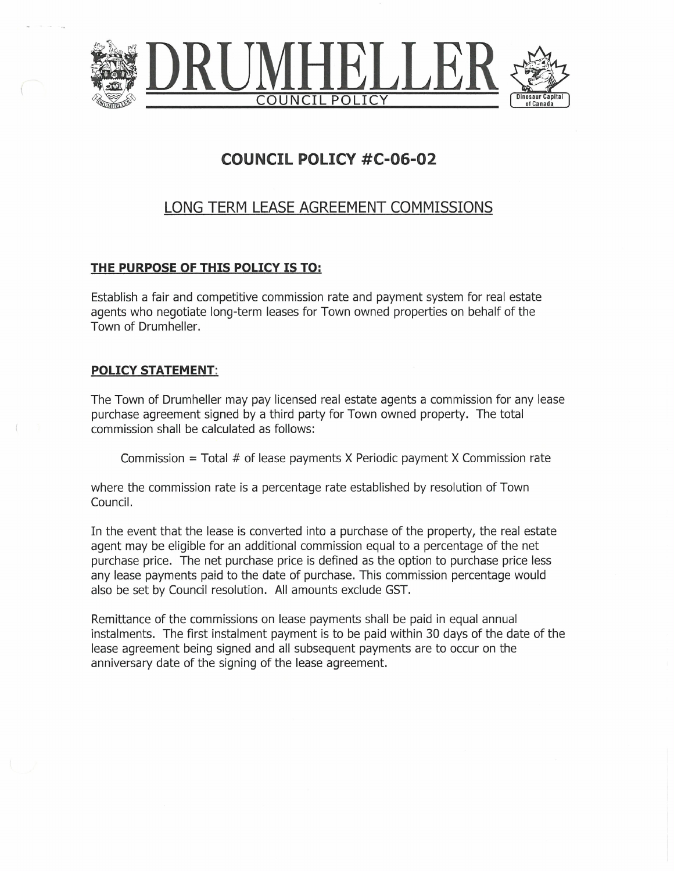

## COUNCIL POLICY #C-O6-02

## LONG TERM LEASE AGREEMENT COMMISSIONS

## THE PURPOSE OF THIS POLICY IS TO:

Establish a fair and competitive commission rate and payment system for real estate agents who negotiate long-term leases for Town owned properties on behalf of the Town of Drumheller.

## POLICY STATEMENT:

The Town of Drumheller may pay licensed real estate agents a commission for any lease purchase agreement signed by a third party for Town owned property. The total commission shall be calculated as follows:

Commission  $=$  Total  $#$  of lease payments X Periodic payment X Commission rate

where the commission rate is a percentage rate established by resolution of Town Council.

In the event that the lease is converted into a purchase of the property, the real estate agent may be eligible for an additional commission equal to a percentage of the net purchase price. The net purchase price is defined as the option to purchase price less any lease payments paid to the date of purchase. This commission percentage would also be set by Council resolution. Allamounts exclude GST.

Remittance of the commissions on lease payments shall be paid in equal annual instalments. The first instalment payment is to be paid within 30 days of the date of the lease agreement being signed and all subsequent payments are to occur on the anniversary date of the signing of the lease agreement.